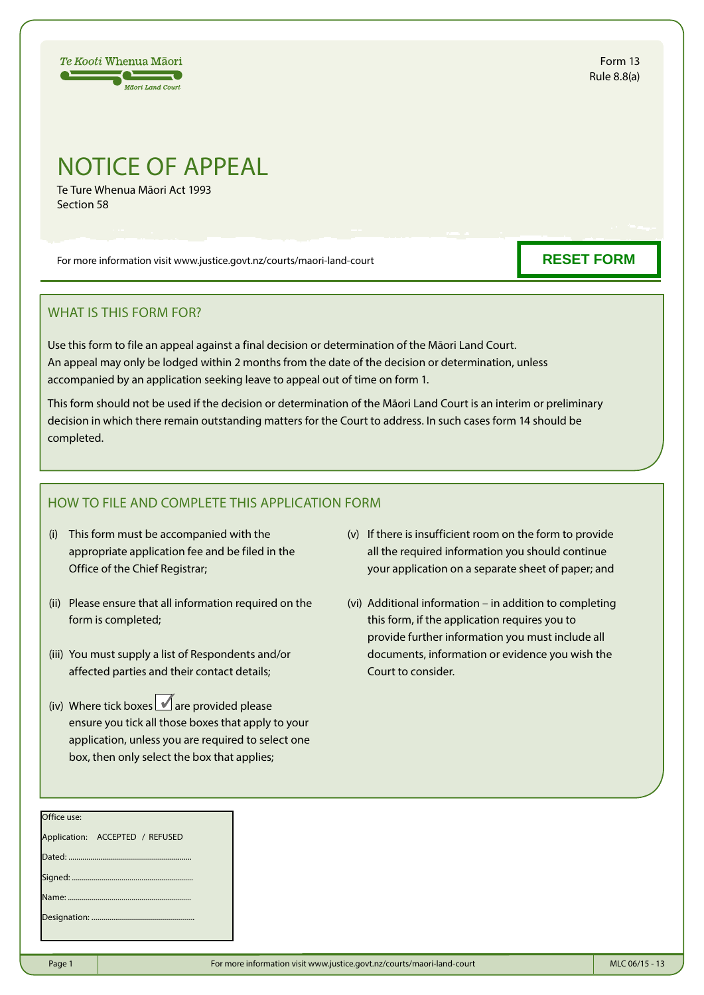

Form 13 Rule 8.8(a)

## NOTICE OF APPEAL

Te Ture Whenua Māori Act 1993 Section 58

For more information visit www.justice.govt.nz/courts/maori-land-court

## WHAT IS THIS FORM FOR?

Use this form to file an appeal against a final decision or determination of the Māori Land Court. An appeal may only be lodged within 2 months from the date of the decision or determination, unless accompanied by an application seeking leave to appeal out of time on form 1.

This form should not be used if the decision or determination of the Māori Land Court is an interim or preliminary decision in which there remain outstanding matters for the Court to address. In such cases form 14 should be completed.

## HOW TO FILE AND COMPLETE THIS APPLICATION FORM

- (i) This form must be accompanied with the appropriate application fee and be filed in the Office of the Chief Registrar;
- (ii) Please ensure that all information required on the form is completed;
- (iii) You must supply a list of Respondents and/or affected parties and their contact details;
- (iv) Where tick boxes  $\Box$  are provided please ensure you tick all those boxes that apply to your application, unless you are required to select one box, then only select the box that applies;
- (v) If there is insufficient room on the form to provide all the required information you should continue your application on a separate sheet of paper; and
- (vi) Additional information in addition to completing this form, if the application requires you to provide further information you must include all documents, information or evidence you wish the Court to consider.

| Office use: |                                 |
|-------------|---------------------------------|
|             | Application: ACCEPTED / REFUSED |
|             |                                 |
|             |                                 |
|             |                                 |
|             |                                 |
|             |                                 |

## **RESET FORM**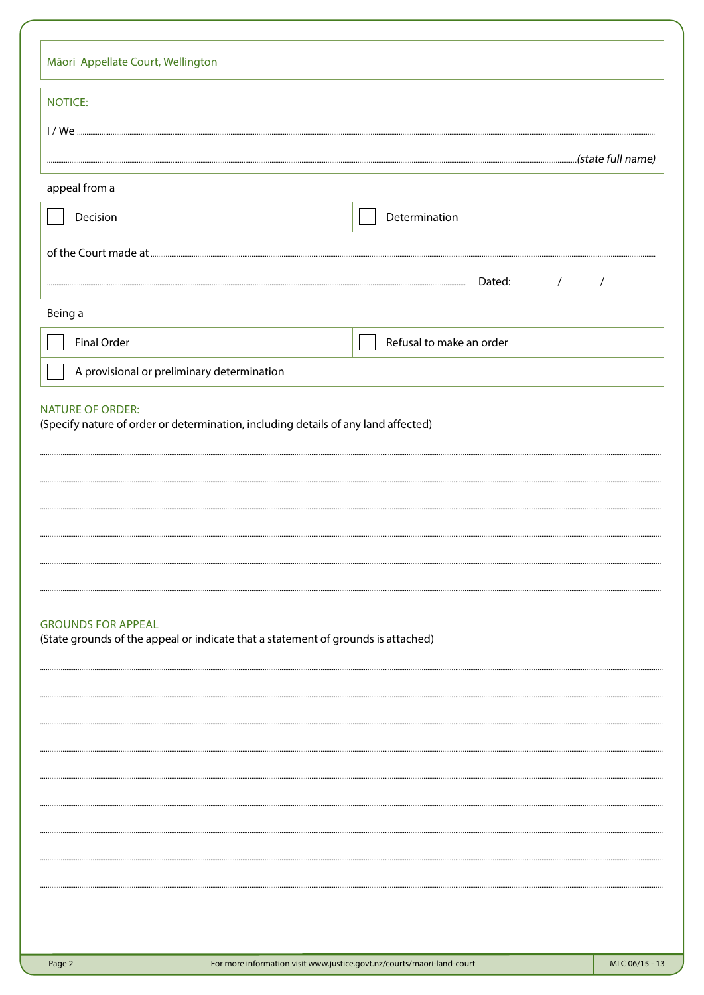|                         | Māori Appellate Court, Wellington                                                  |                |
|-------------------------|------------------------------------------------------------------------------------|----------------|
| <b>NOTICE:</b>          |                                                                                    |                |
|                         |                                                                                    |                |
|                         |                                                                                    |                |
| appeal from a           |                                                                                    |                |
| Decision                | Determination                                                                      |                |
|                         |                                                                                    |                |
|                         | Dated:<br>$\sqrt{2}$                                                               | $\sqrt{ }$     |
| Being a                 |                                                                                    |                |
|                         | Refusal to make an order<br>Final Order                                            |                |
|                         | A provisional or preliminary determination                                         |                |
|                         |                                                                                    |                |
| <b>NATURE OF ORDER:</b> | (Specify nature of order or determination, including details of any land affected) |                |
|                         |                                                                                    |                |
|                         |                                                                                    |                |
|                         |                                                                                    |                |
|                         |                                                                                    |                |
|                         |                                                                                    |                |
|                         |                                                                                    |                |
|                         | <b>GROUNDS FOR APPEAL</b>                                                          |                |
|                         | (State grounds of the appeal or indicate that a statement of grounds is attached)  |                |
|                         |                                                                                    |                |
|                         |                                                                                    |                |
|                         |                                                                                    |                |
|                         |                                                                                    |                |
|                         |                                                                                    |                |
|                         |                                                                                    |                |
|                         |                                                                                    |                |
|                         |                                                                                    |                |
|                         |                                                                                    |                |
|                         |                                                                                    |                |
| Page 2                  | For more information visit www.justice.govt.nz/courts/maori-land-court             | MLC 06/15 - 13 |